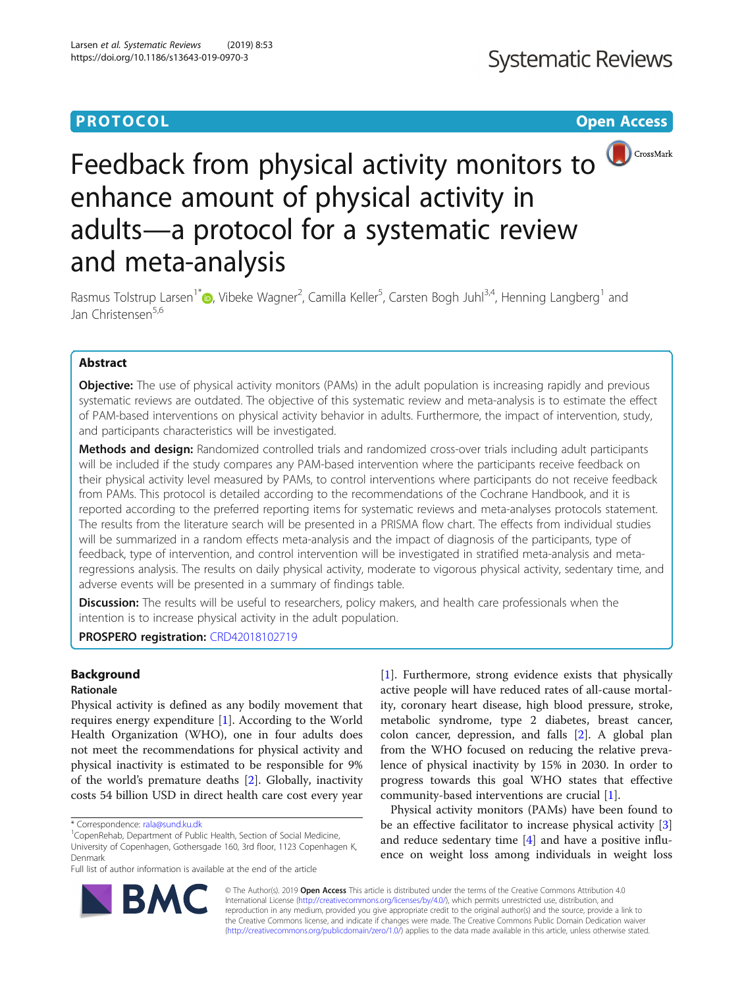# **PROTOCOL CONSUMING THE OPEN ACCESS**



# Feedback from physical activity monitors to **D**CrossMark enhance amount of physical activity in adults—a protocol for a systematic review and meta-analysis

Rasmus Tolstrup Larsen<sup>1\*</sup> (**b**, Vibeke Wagner<sup>2</sup>, Camilla Keller<sup>5</sup>, Carsten Bogh Juhl<sup>3,4</sup>, Henning Langberg<sup>1</sup> and Jan Christensen<sup>5,6</sup>

# Abstract

**Objective:** The use of physical activity monitors (PAMs) in the adult population is increasing rapidly and previous systematic reviews are outdated. The objective of this systematic review and meta-analysis is to estimate the effect of PAM-based interventions on physical activity behavior in adults. Furthermore, the impact of intervention, study, and participants characteristics will be investigated.

Methods and design: Randomized controlled trials and randomized cross-over trials including adult participants will be included if the study compares any PAM-based intervention where the participants receive feedback on their physical activity level measured by PAMs, to control interventions where participants do not receive feedback from PAMs. This protocol is detailed according to the recommendations of the Cochrane Handbook, and it is reported according to the preferred reporting items for systematic reviews and meta-analyses protocols statement. The results from the literature search will be presented in a PRISMA flow chart. The effects from individual studies will be summarized in a random effects meta-analysis and the impact of diagnosis of the participants, type of feedback, type of intervention, and control intervention will be investigated in stratified meta-analysis and metaregressions analysis. The results on daily physical activity, moderate to vigorous physical activity, sedentary time, and adverse events will be presented in a summary of findings table.

**Discussion:** The results will be useful to researchers, policy makers, and health care professionals when the intention is to increase physical activity in the adult population.

PROSPERO registration: [CRD42018102719](https://www.crd.york.ac.uk/PROSPERO/display_record.php?RecordID=102719)

# Background

# Rationale

Physical activity is defined as any bodily movement that requires energy expenditure [[1\]](#page-4-0). According to the World Health Organization (WHO), one in four adults does not meet the recommendations for physical activity and physical inactivity is estimated to be responsible for 9% of the world's premature deaths [[2\]](#page-4-0). Globally, inactivity costs 54 billion USD in direct health care cost every year

Full list of author information is available at the end of the article

[[1\]](#page-4-0). Furthermore, strong evidence exists that physically active people will have reduced rates of all-cause mortality, coronary heart disease, high blood pressure, stroke, metabolic syndrome, type 2 diabetes, breast cancer, colon cancer, depression, and falls [[2\]](#page-4-0). A global plan from the WHO focused on reducing the relative prevalence of physical inactivity by 15% in 2030. In order to progress towards this goal WHO states that effective community-based interventions are crucial [[1\]](#page-4-0).

Physical activity monitors (PAMs) have been found to be an effective facilitator to increase physical activity [[3](#page-4-0)] and reduce sedentary time [[4](#page-4-0)] and have a positive influence on weight loss among individuals in weight loss



© The Author(s). 2019 Open Access This article is distributed under the terms of the Creative Commons Attribution 4.0 International License [\(http://creativecommons.org/licenses/by/4.0/](http://creativecommons.org/licenses/by/4.0/)), which permits unrestricted use, distribution, and reproduction in any medium, provided you give appropriate credit to the original author(s) and the source, provide a link to the Creative Commons license, and indicate if changes were made. The Creative Commons Public Domain Dedication waiver [\(http://creativecommons.org/publicdomain/zero/1.0/](http://creativecommons.org/publicdomain/zero/1.0/)) applies to the data made available in this article, unless otherwise stated.

<sup>\*</sup> Correspondence: [rala@sund.ku.dk](mailto:rala@sund.ku.dk) <sup>1</sup>

<sup>&</sup>lt;sup>1</sup>CopenRehab, Department of Public Health, Section of Social Medicine, University of Copenhagen, Gothersgade 160, 3rd floor, 1123 Copenhagen K, Denmark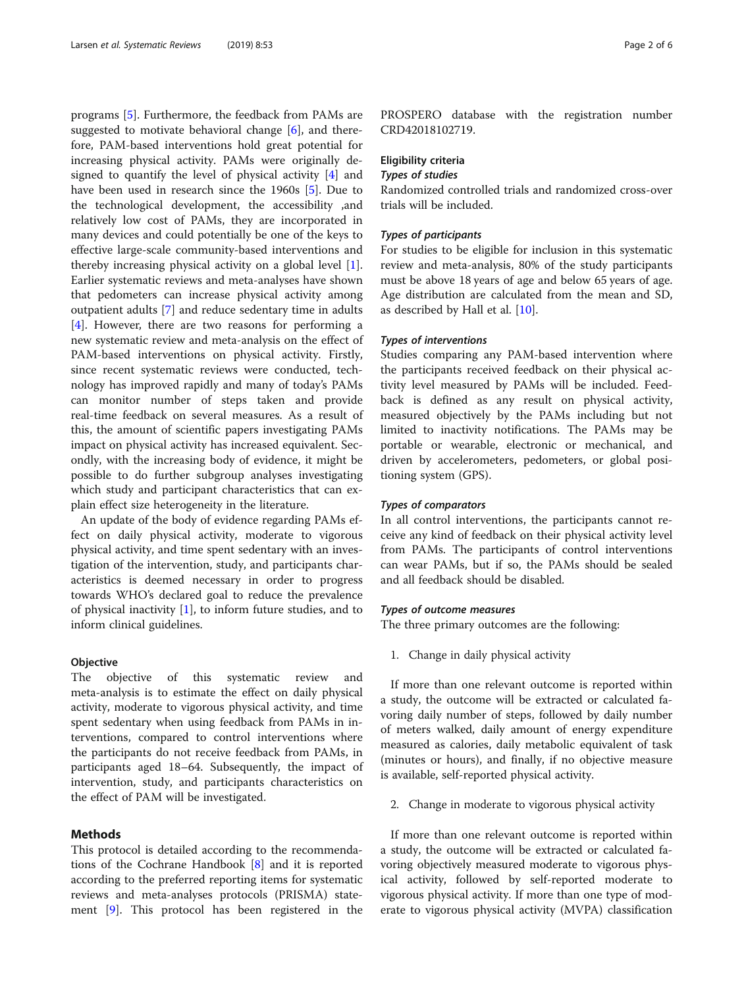programs [[5\]](#page-4-0). Furthermore, the feedback from PAMs are suggested to motivate behavioral change [[6\]](#page-4-0), and therefore, PAM-based interventions hold great potential for increasing physical activity. PAMs were originally designed to quantify the level of physical activity [\[4](#page-4-0)] and have been used in research since the 1960s [\[5](#page-4-0)]. Due to the technological development, the accessibility ,and relatively low cost of PAMs, they are incorporated in many devices and could potentially be one of the keys to effective large-scale community-based interventions and thereby increasing physical activity on a global level [\[1](#page-4-0)]. Earlier systematic reviews and meta-analyses have shown that pedometers can increase physical activity among outpatient adults [\[7](#page-4-0)] and reduce sedentary time in adults [[4\]](#page-4-0). However, there are two reasons for performing a new systematic review and meta-analysis on the effect of PAM-based interventions on physical activity. Firstly, since recent systematic reviews were conducted, technology has improved rapidly and many of today's PAMs can monitor number of steps taken and provide real-time feedback on several measures. As a result of this, the amount of scientific papers investigating PAMs impact on physical activity has increased equivalent. Secondly, with the increasing body of evidence, it might be possible to do further subgroup analyses investigating which study and participant characteristics that can explain effect size heterogeneity in the literature.

An update of the body of evidence regarding PAMs effect on daily physical activity, moderate to vigorous physical activity, and time spent sedentary with an investigation of the intervention, study, and participants characteristics is deemed necessary in order to progress towards WHO's declared goal to reduce the prevalence of physical inactivity [[1\]](#page-4-0), to inform future studies, and to inform clinical guidelines.

# **Objective**

The objective of this systematic review and meta-analysis is to estimate the effect on daily physical activity, moderate to vigorous physical activity, and time spent sedentary when using feedback from PAMs in interventions, compared to control interventions where the participants do not receive feedback from PAMs, in participants aged 18–64. Subsequently, the impact of intervention, study, and participants characteristics on the effect of PAM will be investigated.

# Methods

This protocol is detailed according to the recommendations of the Cochrane Handbook [[8\]](#page-4-0) and it is reported according to the preferred reporting items for systematic reviews and meta-analyses protocols (PRISMA) statement [[9\]](#page-4-0). This protocol has been registered in the PROSPERO database with the registration number CRD42018102719.

# Eligibility criteria

# Types of studies

Randomized controlled trials and randomized cross-over trials will be included.

# Types of participants

For studies to be eligible for inclusion in this systematic review and meta-analysis, 80% of the study participants must be above 18 years of age and below 65 years of age. Age distribution are calculated from the mean and SD, as described by Hall et al. [[10\]](#page-5-0).

# Types of interventions

Studies comparing any PAM-based intervention where the participants received feedback on their physical activity level measured by PAMs will be included. Feedback is defined as any result on physical activity, measured objectively by the PAMs including but not limited to inactivity notifications. The PAMs may be portable or wearable, electronic or mechanical, and driven by accelerometers, pedometers, or global positioning system (GPS).

# Types of comparators

In all control interventions, the participants cannot receive any kind of feedback on their physical activity level from PAMs. The participants of control interventions can wear PAMs, but if so, the PAMs should be sealed and all feedback should be disabled.

## Types of outcome measures

The three primary outcomes are the following:

1. Change in daily physical activity

If more than one relevant outcome is reported within a study, the outcome will be extracted or calculated favoring daily number of steps, followed by daily number of meters walked, daily amount of energy expenditure measured as calories, daily metabolic equivalent of task (minutes or hours), and finally, if no objective measure is available, self-reported physical activity.

2. Change in moderate to vigorous physical activity

If more than one relevant outcome is reported within a study, the outcome will be extracted or calculated favoring objectively measured moderate to vigorous physical activity, followed by self-reported moderate to vigorous physical activity. If more than one type of moderate to vigorous physical activity (MVPA) classification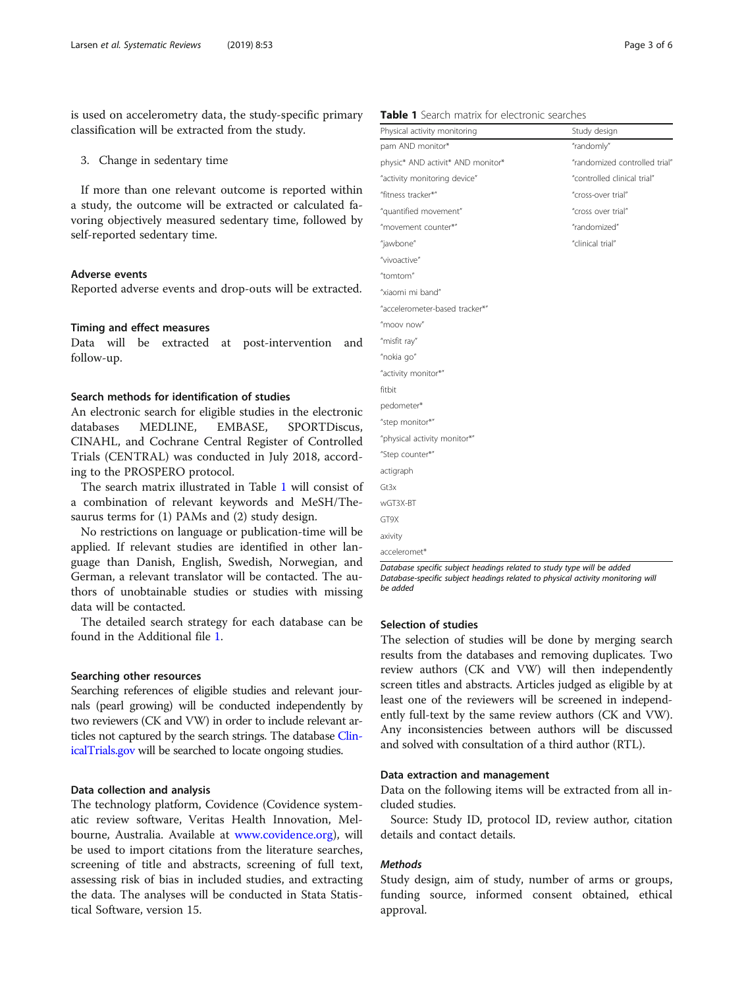is used on accelerometry data, the study-specific primary classification will be extracted from the study.

#### 3. Change in sedentary time

If more than one relevant outcome is reported within a study, the outcome will be extracted or calculated favoring objectively measured sedentary time, followed by self-reported sedentary time.

# Adverse events

Reported adverse events and drop-outs will be extracted.

#### Timing and effect measures

Data will be extracted at post-intervention and follow-up.

# Search methods for identification of studies

An electronic search for eligible studies in the electronic databases MEDLINE, EMBASE, SPORTDiscus, CINAHL, and Cochrane Central Register of Controlled Trials (CENTRAL) was conducted in July 2018, according to the PROSPERO protocol.

The search matrix illustrated in Table 1 will consist of a combination of relevant keywords and MeSH/Thesaurus terms for (1) PAMs and (2) study design.

No restrictions on language or publication-time will be applied. If relevant studies are identified in other language than Danish, English, Swedish, Norwegian, and German, a relevant translator will be contacted. The authors of unobtainable studies or studies with missing data will be contacted.

The detailed search strategy for each database can be found in the Additional file [1.](#page-4-0)

#### Searching other resources

Searching references of eligible studies and relevant journals (pearl growing) will be conducted independently by two reviewers (CK and VW) in order to include relevant articles not captured by the search strings. The database [Clin](http://clinicaltrials.gov)[icalTrials.gov](http://clinicaltrials.gov) will be searched to locate ongoing studies.

# Data collection and analysis

The technology platform, Covidence (Covidence systematic review software, Veritas Health Innovation, Melbourne, Australia. Available at [www.covidence.org\)](http://www.covidence.org), will be used to import citations from the literature searches, screening of title and abstracts, screening of full text, assessing risk of bias in included studies, and extracting the data. The analyses will be conducted in Stata Statistical Software, version 15.

Table 1 Search matrix for electronic searches

| Physical activity monitoring      | Study design                  |
|-----------------------------------|-------------------------------|
| pam AND monitor*                  | "randomly"                    |
| physic* AND activit* AND monitor* | "randomized controlled trial" |
| "activity monitoring device"      | "controlled clinical trial"   |
| "fitness tracker*"                | "cross-over trial"            |
| "quantified movement"             | "cross over trial"            |
| "movement counter*"               | "randomized"                  |
| "jawbone"                         | "clinical trial"              |
| "vivoactive"                      |                               |
| "tomtom"                          |                               |
| "xiaomi mi band"                  |                               |
| "accelerometer-based tracker*"    |                               |
| "moov now"                        |                               |
| "misfit ray"                      |                               |
| "nokia go"                        |                               |
| "activity monitor*"               |                               |
| fitbit                            |                               |
| pedometer*                        |                               |
| "step monitor*"                   |                               |
| "physical activity monitor*"      |                               |
| "Step counter*"                   |                               |
| actigraph                         |                               |
| Gt3x                              |                               |
| wGT3X-BT                          |                               |
| GT9X                              |                               |
| axivity                           |                               |
| acceleromet*                      |                               |

Database specific subject headings related to study type will be added Database-specific subject headings related to physical activity monitoring will be added

# Selection of studies

The selection of studies will be done by merging search results from the databases and removing duplicates. Two review authors (CK and VW) will then independently screen titles and abstracts. Articles judged as eligible by at least one of the reviewers will be screened in independently full-text by the same review authors (CK and VW). Any inconsistencies between authors will be discussed and solved with consultation of a third author (RTL).

# Data extraction and management

Data on the following items will be extracted from all included studies.

Source: Study ID, protocol ID, review author, citation details and contact details.

# Methods

Study design, aim of study, number of arms or groups, funding source, informed consent obtained, ethical approval.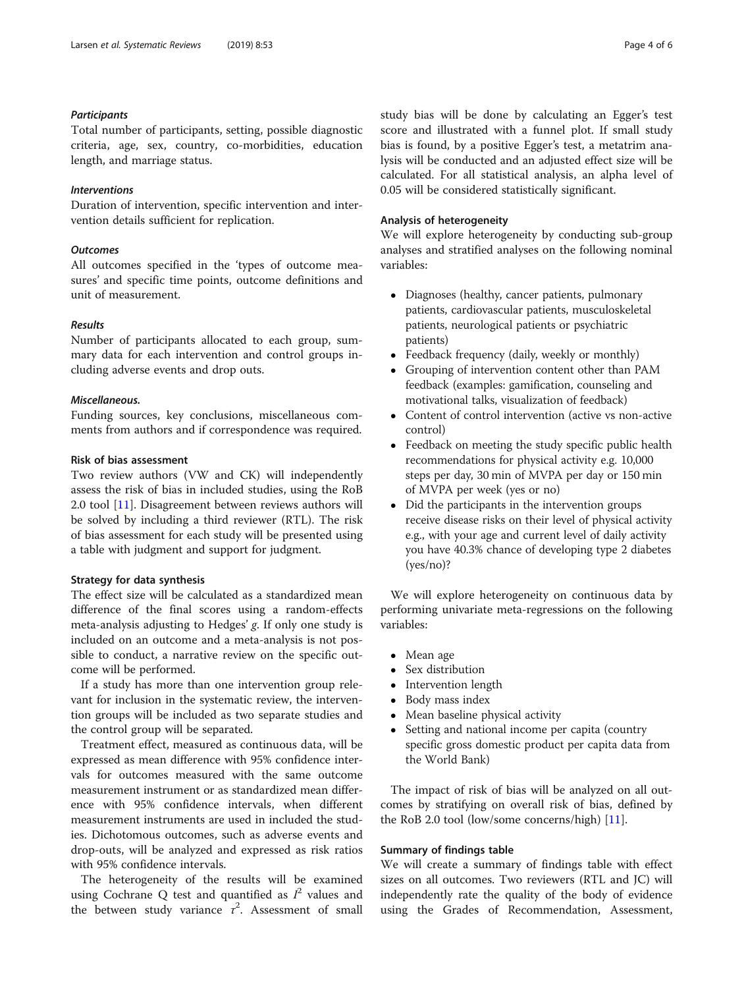# **Participants**

Total number of participants, setting, possible diagnostic criteria, age, sex, country, co-morbidities, education length, and marriage status.

# Interventions

Duration of intervention, specific intervention and intervention details sufficient for replication.

# **Outcomes**

All outcomes specified in the 'types of outcome measures' and specific time points, outcome definitions and unit of measurement.

# Results

Number of participants allocated to each group, summary data for each intervention and control groups including adverse events and drop outs.

# **Miscellaneous**

Funding sources, key conclusions, miscellaneous comments from authors and if correspondence was required.

# Risk of bias assessment

Two review authors (VW and CK) will independently assess the risk of bias in included studies, using the RoB 2.0 tool [\[11\]](#page-5-0). Disagreement between reviews authors will be solved by including a third reviewer (RTL). The risk of bias assessment for each study will be presented using a table with judgment and support for judgment.

# Strategy for data synthesis

The effect size will be calculated as a standardized mean difference of the final scores using a random-effects meta-analysis adjusting to Hedges' g. If only one study is included on an outcome and a meta-analysis is not possible to conduct, a narrative review on the specific outcome will be performed.

If a study has more than one intervention group relevant for inclusion in the systematic review, the intervention groups will be included as two separate studies and the control group will be separated.

Treatment effect, measured as continuous data, will be expressed as mean difference with 95% confidence intervals for outcomes measured with the same outcome measurement instrument or as standardized mean difference with 95% confidence intervals, when different measurement instruments are used in included the studies. Dichotomous outcomes, such as adverse events and drop-outs, will be analyzed and expressed as risk ratios with 95% confidence intervals.

The heterogeneity of the results will be examined using Cochrane Q test and quantified as  $I^2$  values and<br>the between study variance  $\tau^2$  Assessment of small the between study variance  $\tau^2$ . Assessment of small

study bias will be done by calculating an Egger's test score and illustrated with a funnel plot. If small study bias is found, by a positive Egger's test, a metatrim analysis will be conducted and an adjusted effect size will be calculated. For all statistical analysis, an alpha level of 0.05 will be considered statistically significant.

# Analysis of heterogeneity

We will explore heterogeneity by conducting sub-group analyses and stratified analyses on the following nominal variables:

- Diagnoses (healthy, cancer patients, pulmonary patients, cardiovascular patients, musculoskeletal patients, neurological patients or psychiatric patients)
- Feedback frequency (daily, weekly or monthly)
- Grouping of intervention content other than PAM feedback (examples: gamification, counseling and motivational talks, visualization of feedback)
- Content of control intervention (active vs non-active control)
- Feedback on meeting the study specific public health recommendations for physical activity e.g. 10,000 steps per day, 30 min of MVPA per day or 150 min of MVPA per week (yes or no)
- Did the participants in the intervention groups receive disease risks on their level of physical activity e.g., with your age and current level of daily activity you have 40.3% chance of developing type 2 diabetes (yes/no)?

We will explore heterogeneity on continuous data by performing univariate meta-regressions on the following variables:

- Mean age
- Sex distribution
- Intervention length<br>• Body mass index
- Body mass index
- Mean baseline physical activity
- Setting and national income per capita (country specific gross domestic product per capita data from the World Bank)

The impact of risk of bias will be analyzed on all outcomes by stratifying on overall risk of bias, defined by the RoB 2.0 tool (low/some concerns/high) [\[11](#page-5-0)].

# Summary of findings table

We will create a summary of findings table with effect sizes on all outcomes. Two reviewers (RTL and JC) will independently rate the quality of the body of evidence using the Grades of Recommendation, Assessment,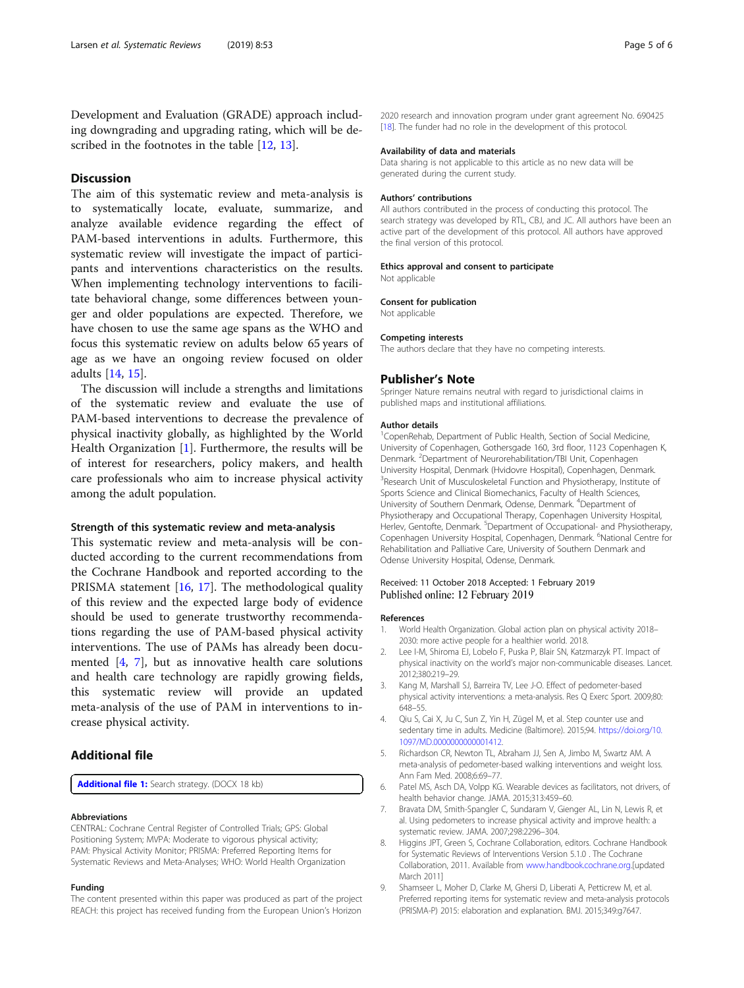<span id="page-4-0"></span>Development and Evaluation (GRADE) approach including downgrading and upgrading rating, which will be de-scribed in the footnotes in the table [\[12,](#page-5-0) [13\]](#page-5-0).

# **Discussion**

The aim of this systematic review and meta-analysis is to systematically locate, evaluate, summarize, and analyze available evidence regarding the effect of PAM-based interventions in adults. Furthermore, this systematic review will investigate the impact of participants and interventions characteristics on the results. When implementing technology interventions to facilitate behavioral change, some differences between younger and older populations are expected. Therefore, we have chosen to use the same age spans as the WHO and focus this systematic review on adults below 65 years of age as we have an ongoing review focused on older adults [\[14](#page-5-0), [15](#page-5-0)].

The discussion will include a strengths and limitations of the systematic review and evaluate the use of PAM-based interventions to decrease the prevalence of physical inactivity globally, as highlighted by the World Health Organization [1]. Furthermore, the results will be of interest for researchers, policy makers, and health care professionals who aim to increase physical activity among the adult population.

#### Strength of this systematic review and meta-analysis

This systematic review and meta-analysis will be conducted according to the current recommendations from the Cochrane Handbook and reported according to the PRISMA statement [\[16,](#page-5-0) [17](#page-5-0)]. The methodological quality of this review and the expected large body of evidence should be used to generate trustworthy recommendations regarding the use of PAM-based physical activity interventions. The use of PAMs has already been documented [4, 7], but as innovative health care solutions and health care technology are rapidly growing fields, this systematic review will provide an updated meta-analysis of the use of PAM in interventions to increase physical activity.

# Additional file

[Additional file 1:](https://doi.org/10.1186/s13643-019-0970-3) Search strategy. (DOCX 18 kb)

#### Abbreviations

CENTRAL: Cochrane Central Register of Controlled Trials; GPS: Global Positioning System; MVPA: Moderate to vigorous physical activity; PAM: Physical Activity Monitor; PRISMA: Preferred Reporting Items for Systematic Reviews and Meta-Analyses; WHO: World Health Organization

#### Funding

The content presented within this paper was produced as part of the project REACH: this project has received funding from the European Union's Horizon

2020 research and innovation program under grant agreement No. 690425 [[18\]](#page-5-0). The funder had no role in the development of this protocol.

#### Availability of data and materials

Data sharing is not applicable to this article as no new data will be generated during the current study.

### Authors' contributions

All authors contributed in the process of conducting this protocol. The search strategy was developed by RTL, CBJ, and JC. All authors have been an active part of the development of this protocol. All authors have approved the final version of this protocol.

#### Ethics approval and consent to participate

Not applicable

#### Consent for publication

Not applicable

#### Competing interests

The authors declare that they have no competing interests.

# Publisher's Note

Springer Nature remains neutral with regard to jurisdictional claims in published maps and institutional affiliations.

#### Author details

<sup>1</sup>CopenRehab, Department of Public Health, Section of Social Medicine, University of Copenhagen, Gothersgade 160, 3rd floor, 1123 Copenhagen K, Denmark. <sup>2</sup>Department of Neurorehabilitation/TBI Unit, Copenhagen University Hospital, Denmark (Hvidovre Hospital), Copenhagen, Denmark. <sup>3</sup>Research Unit of Musculoskeletal Function and Physiotherapy, Institute of Sports Science and Clinical Biomechanics, Faculty of Health Sciences, University of Southern Denmark, Odense, Denmark. <sup>4</sup> Department of Physiotherapy and Occupational Therapy, Copenhagen University Hospital, Herlev, Gentofte, Denmark. <sup>5</sup>Department of Occupational- and Physiotherapy, Copenhagen University Hospital, Copenhagen, Denmark. <sup>6</sup>National Centre for Rehabilitation and Palliative Care, University of Southern Denmark and Odense University Hospital, Odense, Denmark.

#### Received: 11 October 2018 Accepted: 1 February 2019 Published online: 12 February 2019

#### References

- 1. World Health Organization. Global action plan on physical activity 2018– 2030: more active people for a healthier world. 2018.
- 2. Lee I-M, Shiroma EJ, Lobelo F, Puska P, Blair SN, Katzmarzyk PT. Impact of physical inactivity on the world's major non-communicable diseases. Lancet. 2012;380:219–29.
- 3. Kang M, Marshall SJ, Barreira TV, Lee J-O. Effect of pedometer-based physical activity interventions: a meta-analysis. Res Q Exerc Sport. 2009;80: 648–55.
- 4. Qiu S, Cai X, Ju C, Sun Z, Yin H, Zügel M, et al. Step counter use and sedentary time in adults. Medicine (Baltimore). 2015;94. [https://doi.org/10.](https://doi.org/10.1097/MD.0000000000001412) [1097/MD.0000000000001412.](https://doi.org/10.1097/MD.0000000000001412)
- 5. Richardson CR, Newton TL, Abraham JJ, Sen A, Jimbo M, Swartz AM. A meta-analysis of pedometer-based walking interventions and weight loss. Ann Fam Med. 2008;6:69–77.
- 6. Patel MS, Asch DA, Volpp KG. Wearable devices as facilitators, not drivers, of health behavior change. JAMA. 2015;313:459–60.
- 7. Bravata DM, Smith-Spangler C, Sundaram V, Gienger AL, Lin N, Lewis R, et al. Using pedometers to increase physical activity and improve health: a systematic review. JAMA. 2007;298:2296–304.
- 8. Higgins JPT, Green S, Cochrane Collaboration, editors. Cochrane Handbook for Systematic Reviews of Interventions Version 5.1.0 . The Cochrane Collaboration, 2011. Available from [www.handbook.cochrane.org](http://www.handbook.cochrane.org).[updated March 2011]
- 9. Shamseer L, Moher D, Clarke M, Ghersi D, Liberati A, Petticrew M, et al. Preferred reporting items for systematic review and meta-analysis protocols (PRISMA-P) 2015: elaboration and explanation. BMJ. 2015;349:g7647.